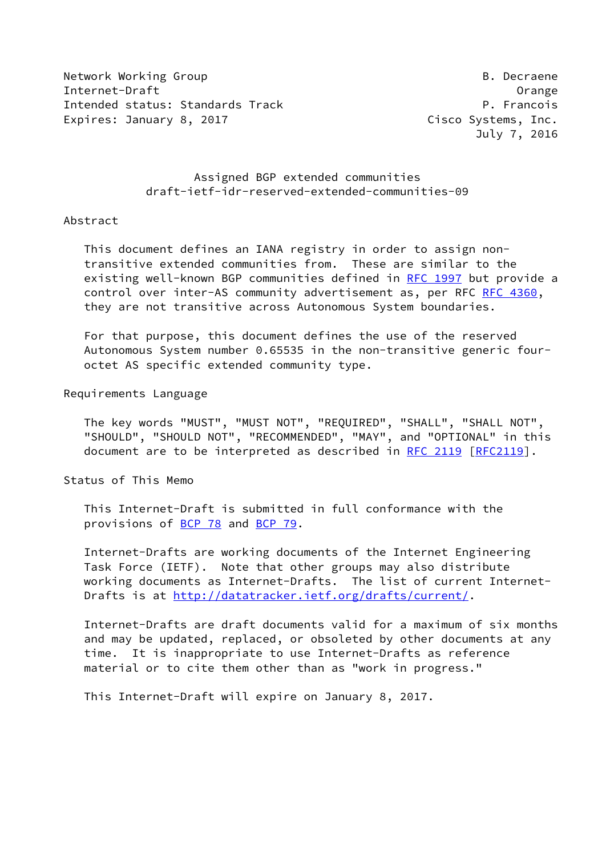Network Working Group **B. Decraene** Internet-Draft Orange Intended status: Standards Track P. Francois Expires: January 8, 2017 **Cisco Systems, Inc.** 

July 7, 2016

 Assigned BGP extended communities draft-ietf-idr-reserved-extended-communities-09

## Abstract

 This document defines an IANA registry in order to assign non transitive extended communities from. These are similar to the existing well-known BGP communities defined in [RFC 1997](https://datatracker.ietf.org/doc/pdf/rfc1997) but provide a control over inter-AS community advertisement as, per RFC [RFC 4360](https://datatracker.ietf.org/doc/pdf/rfc4360), they are not transitive across Autonomous System boundaries.

 For that purpose, this document defines the use of the reserved Autonomous System number 0.65535 in the non-transitive generic four octet AS specific extended community type.

Requirements Language

 The key words "MUST", "MUST NOT", "REQUIRED", "SHALL", "SHALL NOT", "SHOULD", "SHOULD NOT", "RECOMMENDED", "MAY", and "OPTIONAL" in this document are to be interpreted as described in [RFC 2119 \[RFC2119](https://datatracker.ietf.org/doc/pdf/rfc2119)].

Status of This Memo

 This Internet-Draft is submitted in full conformance with the provisions of [BCP 78](https://datatracker.ietf.org/doc/pdf/bcp78) and [BCP 79](https://datatracker.ietf.org/doc/pdf/bcp79).

 Internet-Drafts are working documents of the Internet Engineering Task Force (IETF). Note that other groups may also distribute working documents as Internet-Drafts. The list of current Internet Drafts is at<http://datatracker.ietf.org/drafts/current/>.

 Internet-Drafts are draft documents valid for a maximum of six months and may be updated, replaced, or obsoleted by other documents at any time. It is inappropriate to use Internet-Drafts as reference material or to cite them other than as "work in progress."

This Internet-Draft will expire on January 8, 2017.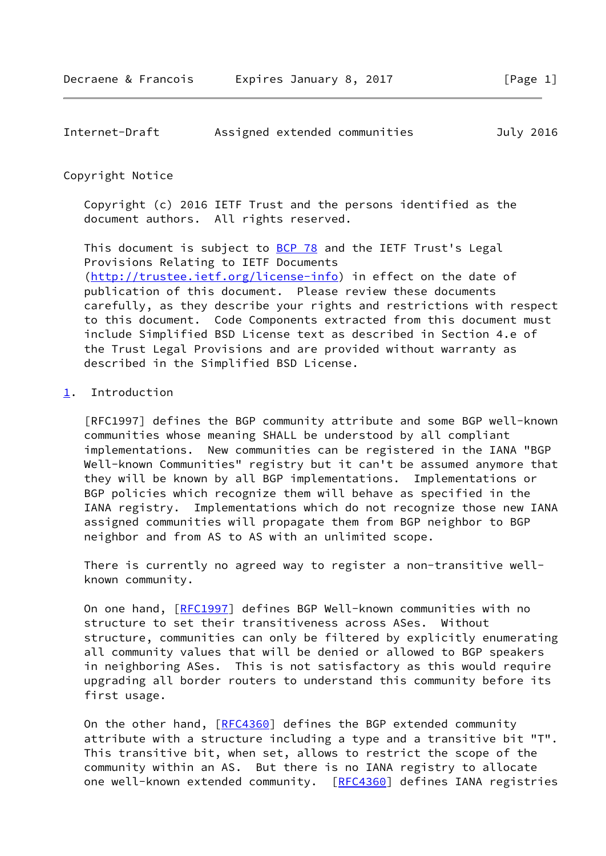| Internet-Draft |  | Assigned extended communities | July 2016 |  |
|----------------|--|-------------------------------|-----------|--|
|                |  |                               |           |  |

## Copyright Notice

 Copyright (c) 2016 IETF Trust and the persons identified as the document authors. All rights reserved.

This document is subject to **[BCP 78](https://datatracker.ietf.org/doc/pdf/bcp78)** and the IETF Trust's Legal Provisions Relating to IETF Documents [\(http://trustee.ietf.org/license-info](http://trustee.ietf.org/license-info)) in effect on the date of publication of this document. Please review these documents carefully, as they describe your rights and restrictions with respect to this document. Code Components extracted from this document must include Simplified BSD License text as described in Section 4.e of the Trust Legal Provisions and are provided without warranty as described in the Simplified BSD License.

## <span id="page-1-0"></span>[1](#page-1-0). Introduction

 [RFC1997] defines the BGP community attribute and some BGP well-known communities whose meaning SHALL be understood by all compliant implementations. New communities can be registered in the IANA "BGP Well-known Communities" registry but it can't be assumed anymore that they will be known by all BGP implementations. Implementations or BGP policies which recognize them will behave as specified in the IANA registry. Implementations which do not recognize those new IANA assigned communities will propagate them from BGP neighbor to BGP neighbor and from AS to AS with an unlimited scope.

 There is currently no agreed way to register a non-transitive well known community.

 On one hand, [\[RFC1997](https://datatracker.ietf.org/doc/pdf/rfc1997)] defines BGP Well-known communities with no structure to set their transitiveness across ASes. Without structure, communities can only be filtered by explicitly enumerating all community values that will be denied or allowed to BGP speakers in neighboring ASes. This is not satisfactory as this would require upgrading all border routers to understand this community before its first usage.

On the other hand, [[RFC4360\]](https://datatracker.ietf.org/doc/pdf/rfc4360) defines the BGP extended community attribute with a structure including a type and a transitive bit "T". This transitive bit, when set, allows to restrict the scope of the community within an AS. But there is no IANA registry to allocate one well-known extended community. [\[RFC4360](https://datatracker.ietf.org/doc/pdf/rfc4360)] defines IANA registries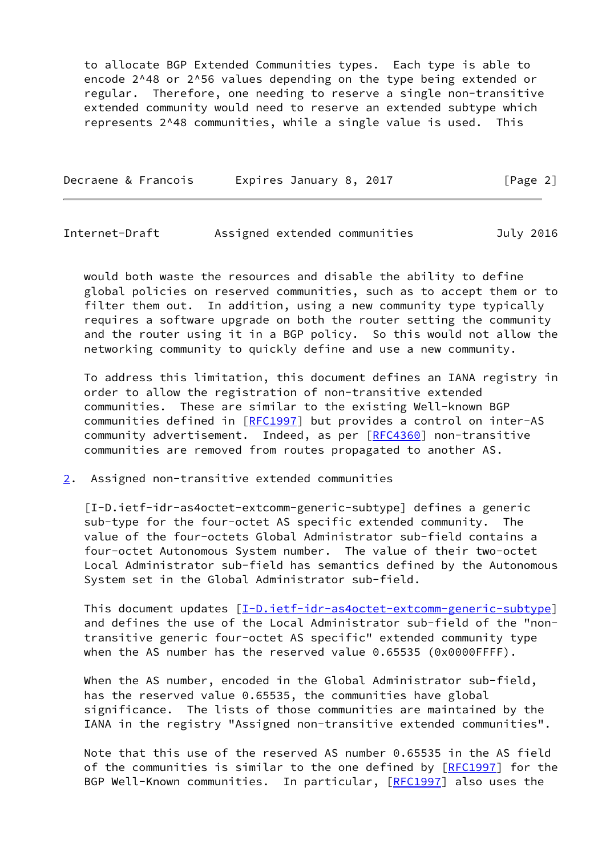to allocate BGP Extended Communities types. Each type is able to encode 2^48 or 2^56 values depending on the type being extended or regular. Therefore, one needing to reserve a single non-transitive extended community would need to reserve an extended subtype which represents 2^48 communities, while a single value is used. This

| Decraene & Francois | Expires January 8, 2017 | [Page 2] |
|---------------------|-------------------------|----------|
|---------------------|-------------------------|----------|

Internet-Draft Assigned extended communities July 2016

 would both waste the resources and disable the ability to define global policies on reserved communities, such as to accept them or to filter them out. In addition, using a new community type typically requires a software upgrade on both the router setting the community and the router using it in a BGP policy. So this would not allow the networking community to quickly define and use a new community.

 To address this limitation, this document defines an IANA registry in order to allow the registration of non-transitive extended communities. These are similar to the existing Well-known BGP communities defined in [\[RFC1997](https://datatracker.ietf.org/doc/pdf/rfc1997)] but provides a control on inter-AS community advertisement. Indeed, as per [\[RFC4360](https://datatracker.ietf.org/doc/pdf/rfc4360)] non-transitive communities are removed from routes propagated to another AS.

<span id="page-2-0"></span>[2](#page-2-0). Assigned non-transitive extended communities

<span id="page-2-1"></span> [I-D.ietf-idr-as4octet-extcomm-generic-subtype] defines a generic sub-type for the four-octet AS specific extended community. The value of the four-octets Global Administrator sub-field contains a four-octet Autonomous System number. The value of their two-octet Local Administrator sub-field has semantics defined by the Autonomous System set in the Global Administrator sub-field.

This document updates  $[\underline{I-D.i}etf-idr-as4octet-extcomm-generic-subtype]$  and defines the use of the Local Administrator sub-field of the "non transitive generic four-octet AS specific" extended community type when the AS number has the reserved value 0.65535 (0x0000FFFF).

 When the AS number, encoded in the Global Administrator sub-field, has the reserved value 0.65535, the communities have global significance. The lists of those communities are maintained by the IANA in the registry "Assigned non-transitive extended communities".

 Note that this use of the reserved AS number 0.65535 in the AS field of the communities is similar to the one defined by [\[RFC1997](https://datatracker.ietf.org/doc/pdf/rfc1997)] for the BGP Well-Known communities. In particular, [\[RFC1997](https://datatracker.ietf.org/doc/pdf/rfc1997)] also uses the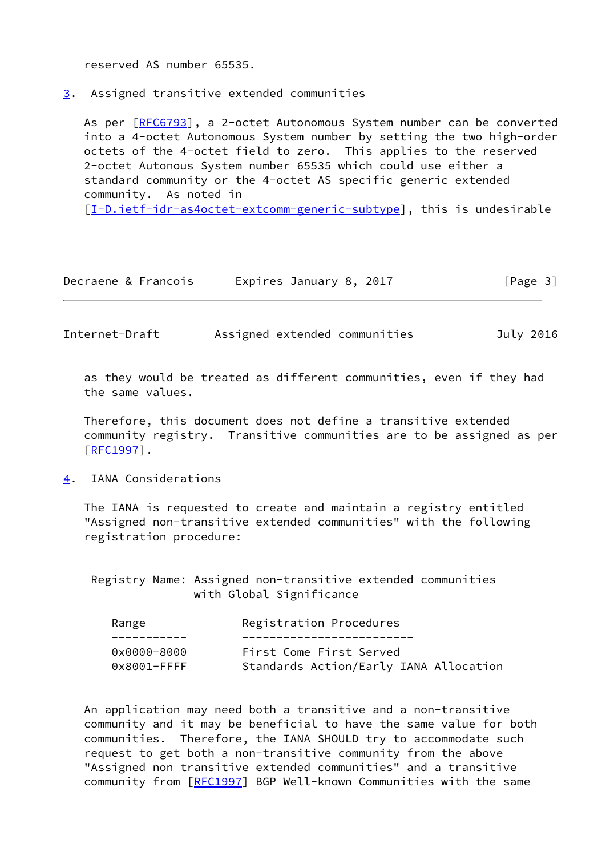reserved AS number 65535.

<span id="page-3-0"></span>[3](#page-3-0). Assigned transitive extended communities

As per [\[RFC6793](https://datatracker.ietf.org/doc/pdf/rfc6793)], a 2-octet Autonomous System number can be converted into a 4-octet Autonomous System number by setting the two high-order octets of the 4-octet field to zero. This applies to the reserved 2-octet Autonous System number 65535 which could use either a standard community or the 4-octet AS specific generic extended community. As noted in

[\[I-D.ietf-idr-as4octet-extcomm-generic-subtype](#page-2-1)], this is undesirable

| Decraene & Francois | Expires January 8, 2017 | [Page 3] |
|---------------------|-------------------------|----------|
|---------------------|-------------------------|----------|

Internet-Draft Assigned extended communities July 2016

 as they would be treated as different communities, even if they had the same values.

 Therefore, this document does not define a transitive extended community registry. Transitive communities are to be assigned as per [\[RFC1997](https://datatracker.ietf.org/doc/pdf/rfc1997)].

<span id="page-3-1"></span>[4](#page-3-1). IANA Considerations

 The IANA is requested to create and maintain a registry entitled "Assigned non-transitive extended communities" with the following registration procedure:

 Registry Name: Assigned non-transitive extended communities with Global Significance

| Range           | Registration Procedures                |
|-----------------|----------------------------------------|
|                 |                                        |
| $0x0000 - 8000$ | First Come First Served                |
| $0x8001$ -FFFF  | Standards Action/Early IANA Allocation |

 An application may need both a transitive and a non-transitive community and it may be beneficial to have the same value for both communities. Therefore, the IANA SHOULD try to accommodate such request to get both a non-transitive community from the above "Assigned non transitive extended communities" and a transitive community from [\[RFC1997](https://datatracker.ietf.org/doc/pdf/rfc1997)] BGP Well-known Communities with the same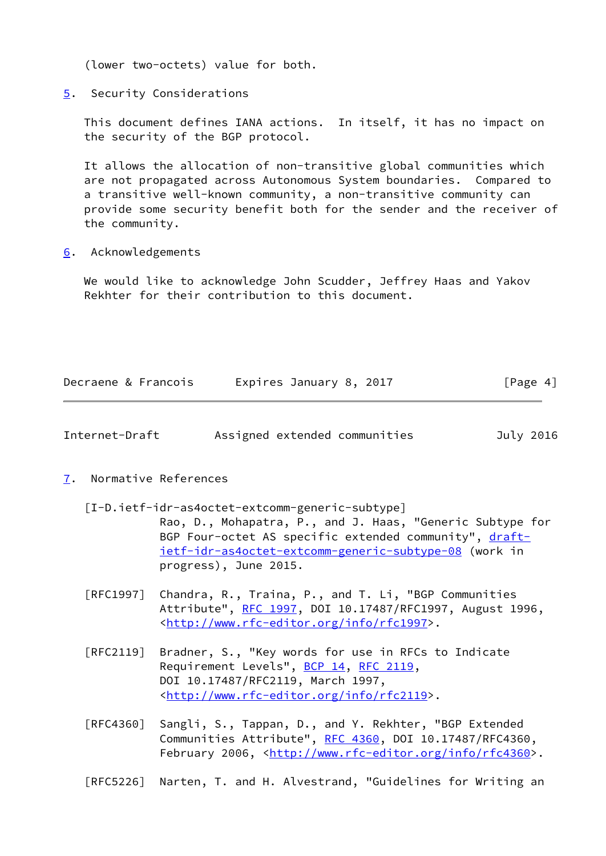(lower two-octets) value for both.

<span id="page-4-0"></span>[5](#page-4-0). Security Considerations

 This document defines IANA actions. In itself, it has no impact on the security of the BGP protocol.

 It allows the allocation of non-transitive global communities which are not propagated across Autonomous System boundaries. Compared to a transitive well-known community, a non-transitive community can provide some security benefit both for the sender and the receiver of the community.

<span id="page-4-1"></span>[6](#page-4-1). Acknowledgements

 We would like to acknowledge John Scudder, Jeffrey Haas and Yakov Rekhter for their contribution to this document.

| Decraene & Francois | Expires January 8, 2017 | [Page 4] |
|---------------------|-------------------------|----------|
|                     |                         |          |

| Internet-Draft |  | Assigned extended communities | July 2016 |
|----------------|--|-------------------------------|-----------|
|                |  |                               |           |

- <span id="page-4-2"></span>[7](#page-4-2). Normative References
	- [I-D.ietf-idr-as4octet-extcomm-generic-subtype] Rao, D., Mohapatra, P., and J. Haas, "Generic Subtype for BGP Four-octet AS specific extended community", [draft](https://datatracker.ietf.org/doc/pdf/draft-ietf-idr-as4octet-extcomm-generic-subtype-08) [ietf-idr-as4octet-extcomm-generic-subtype-08](https://datatracker.ietf.org/doc/pdf/draft-ietf-idr-as4octet-extcomm-generic-subtype-08) (work in progress), June 2015.
	- [RFC1997] Chandra, R., Traina, P., and T. Li, "BGP Communities Attribute", [RFC 1997,](https://datatracker.ietf.org/doc/pdf/rfc1997) DOI 10.17487/RFC1997, August 1996, <<http://www.rfc-editor.org/info/rfc1997>>.
	- [RFC2119] Bradner, S., "Key words for use in RFCs to Indicate Requirement Levels", [BCP 14](https://datatracker.ietf.org/doc/pdf/bcp14), [RFC 2119](https://datatracker.ietf.org/doc/pdf/rfc2119), DOI 10.17487/RFC2119, March 1997, <<http://www.rfc-editor.org/info/rfc2119>>.
	- [RFC4360] Sangli, S., Tappan, D., and Y. Rekhter, "BGP Extended Communities Attribute", [RFC 4360,](https://datatracker.ietf.org/doc/pdf/rfc4360) DOI 10.17487/RFC4360, February 2006, <<http://www.rfc-editor.org/info/rfc4360>>.
	- [RFC5226] Narten, T. and H. Alvestrand, "Guidelines for Writing an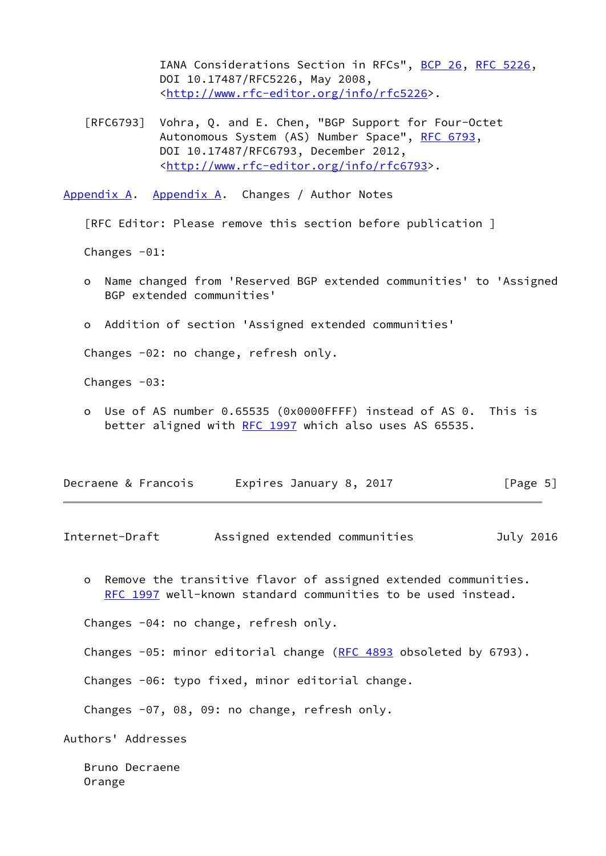IANA Considerations Section in RFCs", [BCP 26](https://datatracker.ietf.org/doc/pdf/bcp26), [RFC 5226](https://datatracker.ietf.org/doc/pdf/rfc5226), DOI 10.17487/RFC5226, May 2008, <<http://www.rfc-editor.org/info/rfc5226>>.

 [RFC6793] Vohra, Q. and E. Chen, "BGP Support for Four-Octet Autonomous System (AS) Number Space", [RFC 6793](https://datatracker.ietf.org/doc/pdf/rfc6793), DOI 10.17487/RFC6793, December 2012, <<http://www.rfc-editor.org/info/rfc6793>>.

<span id="page-5-0"></span>[Appendix A.](#page-5-0) [Appendix A.](#page-5-0) Changes / Author Notes

[RFC Editor: Please remove this section before publication ]

Changes -01:

- o Name changed from 'Reserved BGP extended communities' to 'Assigned BGP extended communities'
- o Addition of section 'Assigned extended communities'

Changes -02: no change, refresh only.

Changes  $-03$ :

 o Use of AS number 0.65535 (0x0000FFFF) instead of AS 0. This is better aligned with [RFC 1997](https://datatracker.ietf.org/doc/pdf/rfc1997) which also uses AS 65535.

| Decraene & Francois | Expires January 8, 2017 | [Page 5] |
|---------------------|-------------------------|----------|
|---------------------|-------------------------|----------|

Internet-Draft Assigned extended communities July 2016

 o Remove the transitive flavor of assigned extended communities. [RFC 1997](https://datatracker.ietf.org/doc/pdf/rfc1997) well-known standard communities to be used instead.

Changes -04: no change, refresh only.

Changes -05: minor editorial change [\(RFC 4893](https://datatracker.ietf.org/doc/pdf/rfc4893) obsoleted by 6793).

Changes -06: typo fixed, minor editorial change.

Changes -07, 08, 09: no change, refresh only.

Authors' Addresses

 Bruno Decraene Orange